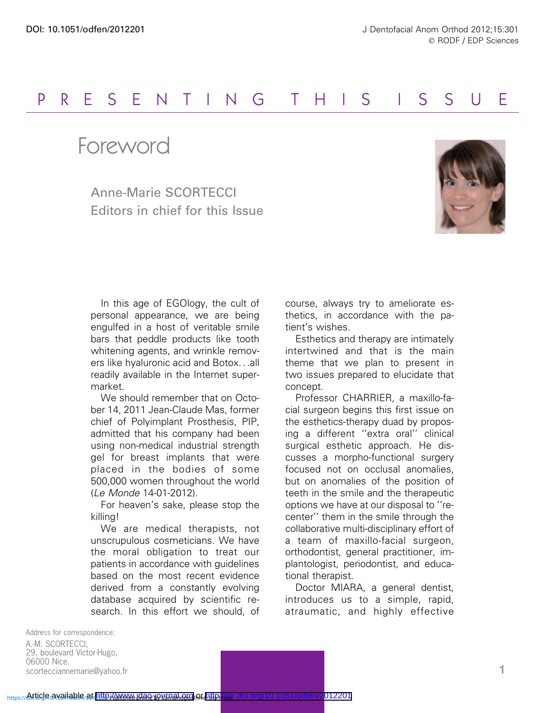## PRESENTING THIS I S SU E

Foreword

Anne-Marie SCORTECCI Editors in chief for this Issue



In this age of EGOlogy, the cult of personal appearance, we are being engulfed in a host of veritable smile bars that peddle products like tooth whitening agents, and wrinkle removers like hyaluronic acid and Botox...all readily available in the Internet supermarket.

We should remember that on October 14, 2011 Jean-Claude Mas, former chief of Polyimplant Prosthesis, PIP, admitted that his company had been using non-medical industrial strength gel for breast implants that were placed in the bodies of some 500,000 women throughout the world (Le Monde 14-01-2012).

For heaven's sake, please stop the killing!

We are medical therapists, not unscrupulous cosmeticians. We have the moral obligation to treat our patients in accordance with guidelines based on the most recent evidence derived from a constantly evolving database acquired by scientific research. In this effort we should, of course, always try to ameliorate esthetics, in accordance with the patient's wishes.

Esthetics and therapy are intimately intertwined and that is the main theme that we plan to present in two issues prepared to elucidate that concept.

Professor CHARRIER, a maxillo-facial surgeon begins this first issue on the esthetics-therapy duad by proposing a different ''extra oral'' clinical surgical esthetic approach. He discusses a morpho-functional surgery focused not on occlusal anomalies, but on anomalies of the position of teeth in the smile and the therapeutic options we have at our disposal to ''recenter'' them in the smile through the collaborative multi-disciplinary effort of a team of maxillo-facial surgeon, orthodontist, general practitioner, implantologist, periodontist, and educational therapist.

Doctor MIARA, a general dentist, introduces us to a simple, rapid, atraumatic, and highly effective

Address for correspondence: A.-M. SCORTECCI, 29, boulevard Victor-Hugo, 06000 Nice. scortecciannemarie@yahoo.fr